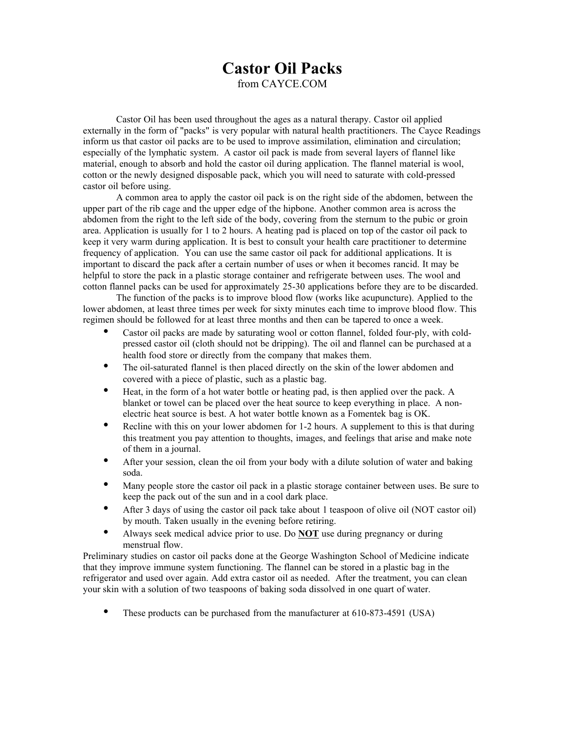## **Castor Oil Packs**

from CAYCE.COM

Castor Oil has been used throughout the ages as a natural therapy. Castor oil applied externally in the form of "packs" is very popular with natural health practitioners. The Cayce Readings inform us that castor oil packs are to be used to improve assimilation, elimination and circulation; especially of the lymphatic system. A castor oil pack is made from several layers of flannel like material, enough to absorb and hold the castor oil during application. The flannel material is wool, cotton or the newly designed disposable pack, which you will need to saturate with cold-pressed castor oil before using.

A common area to apply the castor oil pack is on the right side of the abdomen, between the upper part of the rib cage and the upper edge of the hipbone. Another common area is across the abdomen from the right to the left side of the body, covering from the sternum to the pubic or groin area. Application is usually for 1 to 2 hours. A heating pad is placed on top of the castor oil pack to keep it very warm during application. It is best to consult your health care practitioner to determine frequency of application. You can use the same castor oil pack for additional applications. It is important to discard the pack after a certain number of uses or when it becomes rancid. It may be helpful to store the pack in a plastic storage container and refrigerate between uses. The wool and cotton flannel packs can be used for approximately 25-30 applications before they are to be discarded.

The function of the packs is to improve blood flow (works like acupuncture). Applied to the lower abdomen, at least three times per week for sixty minutes each time to improve blood flow. This regimen should be followed for at least three months and then can be tapered to once a week.

Castor oil packs are made by saturating wool or cotton flannel, folded four-ply, with coldpressed castor oil (cloth should not be dripping). The oil and flannel can be purchased at a health food store or directly from the company that makes them.

The oil-saturated flannel is then placed directly on the skin of the lower abdomen and covered with a piece of plastic, such as a plastic bag.

Heat, in the form of a hot water bottle or heating pad, is then applied over the pack. A blanket or towel can be placed over the heat source to keep everything in place. A nonelectric heat source is best. A hot water bottle known as a Fomentek bag is OK.

Recline with this on your lower abdomen for 1-2 hours. A supplement to this is that during this treatment you pay attention to thoughts, images, and feelings that arise and make note of them in a journal.

After your session, clean the oil from your body with a dilute solution of water and baking soda.

Many people store the castor oil pack in a plastic storage container between uses. Be sure to keep the pack out of the sun and in a cool dark place.

After 3 days of using the castor oil pack take about 1 teaspoon of olive oil (NOT castor oil) by mouth. Taken usually in the evening before retiring.

Always seek medical advice prior to use. Do **NOT** use during pregnancy or during menstrual flow.

Preliminary studies on castor oil packs done at the George Washington School of Medicine indicate that they improve immune system functioning. The flannel can be stored in a plastic bag in the refrigerator and used over again. Add extra castor oil as needed. After the treatment, you can clean your skin with a solution of two teaspoons of baking soda dissolved in one quart of water.

These products can be purchased from the manufacturer at 610-873-4591 (USA)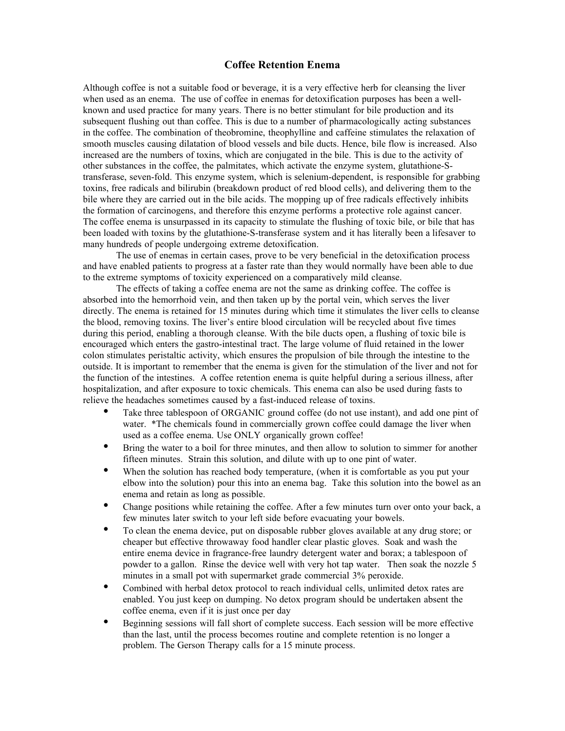## **Coffee Retention Enema**

Although coffee is not a suitable food or beverage, it is a very effective herb for cleansing the liver when used as an enema. The use of coffee in enemas for detoxification purposes has been a wellknown and used practice for many years. There is no better stimulant for bile production and its subsequent flushing out than coffee. This is due to a number of pharmacologically acting substances in the coffee. The combination of theobromine, theophylline and caffeine stimulates the relaxation of smooth muscles causing dilatation of blood vessels and bile ducts. Hence, bile flow is increased. Also increased are the numbers of toxins, which are conjugated in the bile. This is due to the activity of other substances in the coffee, the palmitates, which activate the enzyme system, glutathione-Stransferase, seven-fold. This enzyme system, which is selenium-dependent, is responsible for grabbing toxins, free radicals and bilirubin (breakdown product of red blood cells), and delivering them to the bile where they are carried out in the bile acids. The mopping up of free radicals effectively inhibits the formation of carcinogens, and therefore this enzyme performs a protective role against cancer. The coffee enema is unsurpassed in its capacity to stimulate the flushing of toxic bile, or bile that has been loaded with toxins by the glutathione-S-transferase system and it has literally been a lifesaver to many hundreds of people undergoing extreme detoxification.

The use of enemas in certain cases, prove to be very beneficial in the detoxification process and have enabled patients to progress at a faster rate than they would normally have been able to due to the extreme symptoms of toxicity experienced on a comparatively mild cleanse.

The effects of taking a coffee enema are not the same as drinking coffee. The coffee is absorbed into the hemorrhoid vein, and then taken up by the portal vein, which serves the liver directly. The enema is retained for 15 minutes during which time it stimulates the liver cells to cleanse the blood, removing toxins. The liver's entire blood circulation will be recycled about five times during this period, enabling a thorough cleanse. With the bile ducts open, a flushing of toxic bile is encouraged which enters the gastro-intestinal tract. The large volume of fluid retained in the lower colon stimulates peristaltic activity, which ensures the propulsion of bile through the intestine to the outside. It is important to remember that the enema is given for the stimulation of the liver and not for the function of the intestines. A coffee retention enema is quite helpful during a serious illness, after hospitalization, and after exposure to toxic chemicals. This enema can also be used during fasts to relieve the headaches sometimes caused by a fast-induced release of toxins.

Take three tablespoon of ORGANIC ground coffee (do not use instant), and add one pint of water. \*The chemicals found in commercially grown coffee could damage the liver when used as a coffee enema. Use ONLY organically grown coffee!

Bring the water to a boil for three minutes, and then allow to solution to simmer for another fifteen minutes. Strain this solution, and dilute with up to one pint of water.

When the solution has reached body temperature, (when it is comfortable as you put your elbow into the solution) pour this into an enema bag. Take this solution into the bowel as an enema and retain as long as possible.

Change positions while retaining the coffee. After a few minutes turn over onto your back, a few minutes later switch to your left side before evacuating your bowels.

To clean the enema device, put on disposable rubber gloves available at any drug store; or cheaper but effective throwaway food handler clear plastic gloves. Soak and wash the entire enema device in fragrance-free laundry detergent water and borax; a tablespoon of powder to a gallon. Rinse the device well with very hot tap water. Then soak the nozzle 5 minutes in a small pot with supermarket grade commercial 3% peroxide.

Combined with herbal detox protocol to reach individual cells, unlimited detox rates are enabled. You just keep on dumping. No detox program should be undertaken absent the coffee enema, even if it is just once per day

Beginning sessions will fall short of complete success. Each session will be more effective than the last, until the process becomes routine and complete retention is no longer a problem. The Gerson Therapy calls for a 15 minute process.